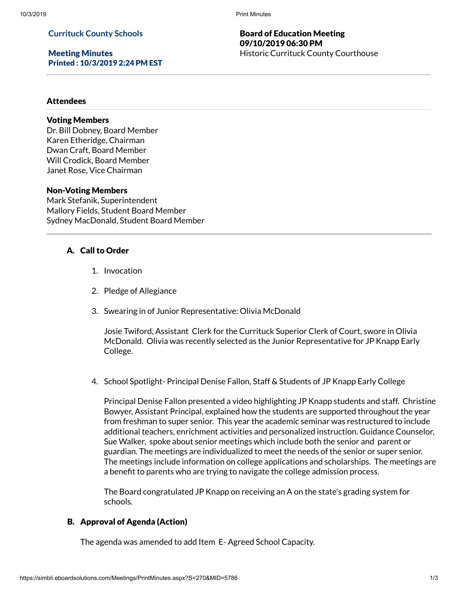# **Currituck County Schools**

Meeting Minutes Printed : 10/3/2019 2:24 PM EST

# Board of Education Meeting 09/10/2019 06:30 PM Historic Currituck County Courthouse

#### Attendees

# Voting Members

Dr. Bill Dobney, Board Member Karen Etheridge, Chairman Dwan Craft, Board Member Will Crodick, Board Member Janet Rose, Vice Chairman

#### Non-Voting Members

Mark Stefanik, Superintendent Mallory Fields, Student Board Member Sydney MacDonald, Student Board Member

# A. Call to Order

- 1. Invocation
- 2. Pledge of Allegiance
- 3. Swearing in of Junior Representative: Olivia McDonald

Josie Twiford, Assistant Clerk for the Currituck Superior Clerk of Court, swore in Olivia McDonald. Olivia was recently selected as the Junior Representative for JP Knapp Early College.

4. School Spotlight- Principal Denise Fallon, Staff & Students of JP Knapp Early College

Principal Denise Fallon presented a video highlighting JP Knapp students and staff. Christine Bowyer, Assistant Principal, explained how the students are supported throughout the year from freshman to super senior. This year the academic seminar was restructured to include additional teachers, enrichment activities and personalized instruction. Guidance Counselor, Sue Walker, spoke about senior meetings which include both the senior and parent or guardian. The meetings are individualized to meet the needs of the senior or super senior. The meetings include information on college applications and scholarships. The meetings are a benefit to parents who are trying to navigate the college admission process.

The Board congratulated JP Knapp on receiving an A on the state's grading system for schools.

### B. Approval of Agenda (Action)

The agenda was amended to add Item E- Agreed School Capacity.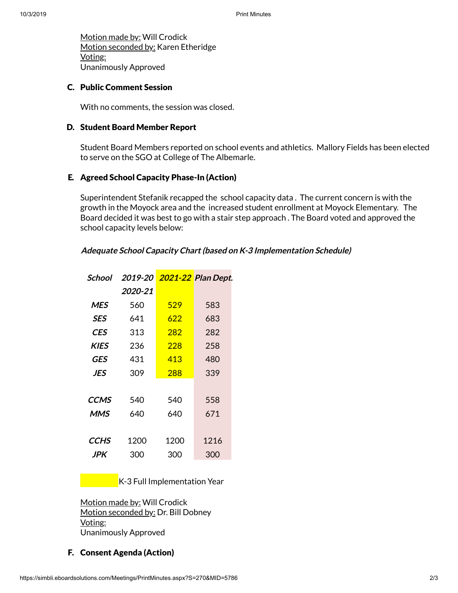Motion made by: Will Crodick Motion seconded by: Karen Etheridge Voting: Unanimously Approved

# C. Public Comment Session

With no comments, the session was closed.

#### D. Student Board Member Report

Student Board Members reported on school events and athletics. Mallory Fields has been elected to serve on the SGO at College of The Albemarle.

# E. Agreed School Capacity Phase-In (Action)

Superintendent Stefanik recapped the school capacity data . The current concern is with the growth in the Moyock area and the increased student enrollment at Moyock Elementary. The Board decided it was best to go with a stair step approach . The Board voted and approved the school capacity levels below:

#### **Adequate School Capacity Chart(based on K-3 Implementation Schedule)**

| School      |         |      | 2019-20 2021-22 Plan Dept. |
|-------------|---------|------|----------------------------|
|             | 2020-21 |      |                            |
| <b>MES</b>  | 560     | 529  | 583                        |
| <b>SES</b>  | 641     | 622  | 683                        |
| CES         | 313     | 282  | 282                        |
| <b>KIES</b> | 236     | 228  | 258                        |
| GES         | 431     | 413  | 480                        |
| JES         | 309     | 288  | 339                        |
|             |         |      |                            |
| <b>CCMS</b> | 540     | 540  | 558                        |
| <b>MMS</b>  | 640     | 640  | 671                        |
|             |         |      |                            |
| CCHS        | 1200    | 1200 | 1216                       |
| <b>JPK</b>  | 300     | 300  | 300                        |

K-3 Full Implementation Year

Motion made by: Will Crodick Motion seconded by: Dr. Bill Dobney Voting: Unanimously Approved

# F. Consent Agenda (Action)